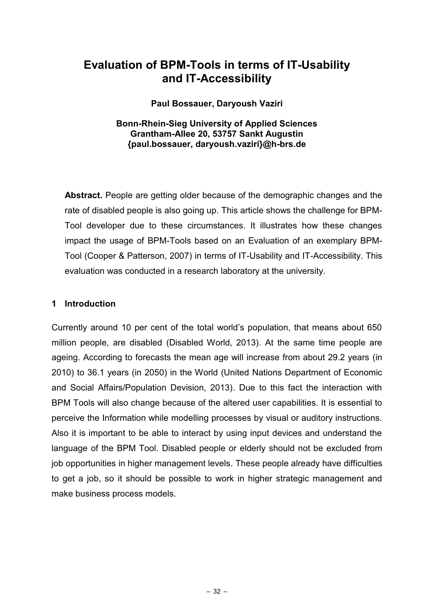# **Evaluation of BPM-Tools in terms of IT-Usability and IT-Accessibility**

#### **Paul Bossauer, Daryoush Vaziri**

# **Bonn-Rhein-Sieg University of Applied Sciences Grantham-Allee 20, 53757 Sankt Augustin {paul.bossauer, daryoush.vaziri}@h-brs.de**

**Abstract.** People are getting older because of the demographic changes and the rate of disabled people is also going up. This article shows the challenge for BPM-Tool developer due to these circumstances. It illustrates how these changes impact the usage of BPM-Tools based on an Evaluation of an exemplary BPM-Tool (Cooper & Patterson, 2007) in terms of IT-Usability and IT-Accessibility. This evaluation was conducted in a research laboratory at the university.

# **1 Introduction**

Currently around 10 per cent of the total world's population, that means about 650 million people, are disabled (Disabled World, 2013). At the same time people are ageing. According to forecasts the mean age will increase from about 29.2 years (in 2010) to 36.1 years (in 2050) in the World (United Nations Department of Economic and Social Affairs/Population Devision, 2013). Due to this fact the interaction with BPM Tools will also change because of the altered user capabilities. It is essential to perceive the Information while modelling processes by visual or auditory instructions. Also it is important to be able to interact by using input devices and understand the language of the BPM Tool. Disabled people or elderly should not be excluded from job opportunities in higher management levels. These people already have difficulties to get a job, so it should be possible to work in higher strategic management and make business process models.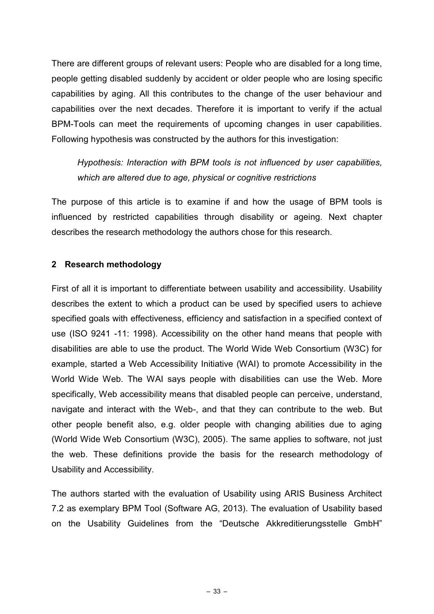There are different groups of relevant users: People who are disabled for a long time, people getting disabled suddenly by accident or older people who are losing specific capabilities by aging. All this contributes to the change of the user behaviour and capabilities over the next decades. Therefore it is important to verify if the actual BPM-Tools can meet the requirements of upcoming changes in user capabilities. Following hypothesis was constructed by the authors for this investigation:

*Hypothesis: Interaction with BPM tools is not influenced by user capabilities, which are altered due to age, physical or cognitive restrictions*

The purpose of this article is to examine if and how the usage of BPM tools is influenced by restricted capabilities through disability or ageing. Next chapter describes the research methodology the authors chose for this research.

# **2 Research methodology**

First of all it is important to differentiate between usability and accessibility. Usability describes the extent to which a product can be used by specified users to achieve specified goals with effectiveness, efficiency and satisfaction in a specified context of use (ISO 9241 -11: 1998). Accessibility on the other hand means that people with disabilities are able to use the product. The World Wide Web Consortium (W3C) for example, started a Web Accessibility Initiative (WAI) to promote Accessibility in the World Wide Web. The WAI says people with disabilities can use the Web. More specifically, Web accessibility means that disabled people can perceive, understand, navigate and interact with the Web-, and that they can contribute to the web. But other people benefit also, e.g. older people with changing abilities due to aging (World Wide Web Consortium (W3C), 2005). The same applies to software, not just the web. These definitions provide the basis for the research methodology of Usability and Accessibility.

The authors started with the evaluation of Usability using ARIS Business Architect 7.2 as exemplary BPM Tool (Software AG, 2013). The evaluation of Usability based on the Usability Guidelines from the "Deutsche Akkreditierungsstelle GmbH"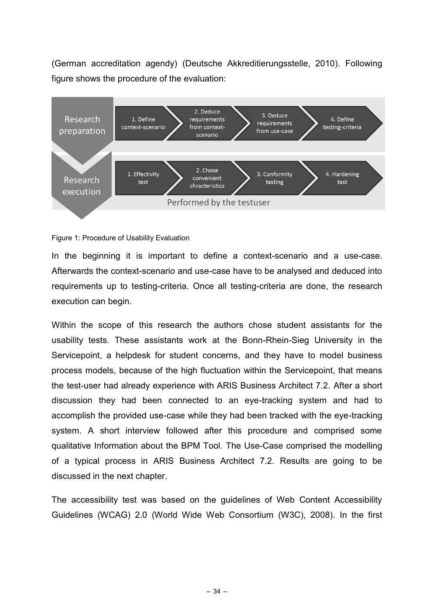(German accreditation agendy) (Deutsche Akkreditierungsstelle, 2010). Following figure shows the procedure of the evaluation:



#### Figure 1: Procedure of Usability Evaluation

In the beginning it is important to define a context-scenario and a use-case. Afterwards the context-scenario and use-case have to be analysed and deduced into requirements up to testing-criteria. Once all testing-criteria are done, the research execution can begin.

Within the scope of this research the authors chose student assistants for the usability tests. These assistants work at the Bonn-Rhein-Sieg University in the Servicepoint, a helpdesk for student concerns, and they have to model business process models, because of the high fluctuation within the Servicepoint, that means the test-user had already experience with ARIS Business Architect 7.2. After a short discussion they had been connected to an eye-tracking system and had to accomplish the provided use-case while they had been tracked with the eye-tracking system. A short interview followed after this procedure and comprised some qualitative Information about the BPM Tool. The Use-Case comprised the modelling of a typical process in ARIS Business Architect 7.2. Results are going to be discussed in the next chapter.

The accessibility test was based on the guidelines of Web Content Accessibility Guidelines (WCAG) 2.0 (World Wide Web Consortium (W3C), 2008). In the first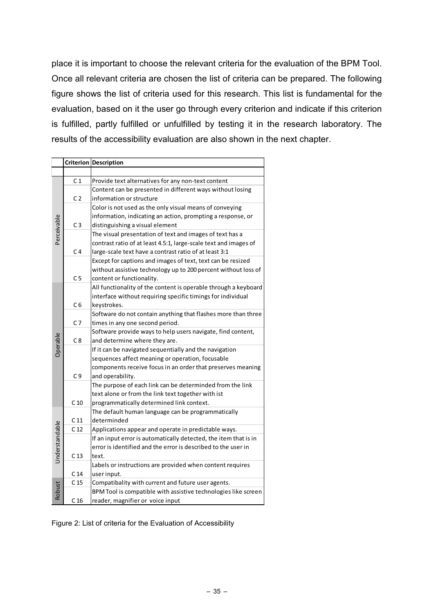place it is important to choose the relevant criteria for the evaluation of the BPM Tool. Once all relevant criteria are chosen the list of criteria can be prepared. The following figure shows the list of criteria used for this research. This list is fundamental for the evaluation, based on it the user go through every criterion and indicate if this criterion is fulfilled, partly fulfilled or unfulfilled by testing it in the research laboratory. The results of the accessibility evaluation are also shown in the next chapter.

|                |                 | <b>Criterion Description</b>                                       |
|----------------|-----------------|--------------------------------------------------------------------|
|                |                 |                                                                    |
| Perceivable    | C <sub>1</sub>  | Provide text alternatives for any non-text content                 |
|                |                 | Content can be presented in different ways without losing          |
|                | C <sub>2</sub>  | information or structure                                           |
|                |                 | Color is not used as the only visual means of conveying            |
|                |                 | information, indicating an action, prompting a response, or        |
|                | C <sub>3</sub>  | distinguishing a visual element                                    |
|                |                 | The visual presentation of text and images of text has a           |
|                |                 | contrast ratio of at least 4.5:1, large-scale text and images of   |
|                | C <sub>4</sub>  | large-scale text have a contrast ratio of at least 3:1             |
|                |                 | Except for captions and images of text, text can be resized        |
|                |                 | without assistive technology up to 200 percent without loss of     |
|                | C <sub>5</sub>  | content or functionality.                                          |
| Operable       |                 | All functionality of the content is operable through a keyboard    |
|                |                 | interface without requiring specific timings for individual        |
|                | C <sub>6</sub>  | keystrokes.                                                        |
|                |                 | Software do not contain anything that flashes more than three      |
|                | C7              | times in any one second period.                                    |
|                |                 | Software provide ways to help users navigate, find content,        |
|                | C8              | and determine where they are.                                      |
|                |                 | If it can be navigated sequentially and the navigation             |
|                |                 | sequences affect meaning or operation, focusable                   |
|                |                 | components receive focus in an order that preserves meaning        |
|                | C9              | and operability.                                                   |
|                |                 | The purpose of each link can be determinded from the link          |
|                |                 | text alone or from the link text together with ist                 |
|                | C <sub>10</sub> | programmatically determined link context.                          |
| Understandable |                 | The default human language can be programmatically                 |
|                | C <sub>11</sub> | determinded                                                        |
|                | C <sub>12</sub> | Applications appear and operate in predictable ways.               |
|                |                 | If an input error is automatically detected, the item that is in   |
|                |                 | error is identified and the error is described to the user in      |
|                | C <sub>13</sub> | text.<br>Labels or instructions are provided when content requires |
|                | C <sub>14</sub> | user input.                                                        |
| Robust         | C <sub>15</sub> | Compatibality with current and future user agents.                 |
|                |                 | BPM Tool is compatible with assistive technologies like screen     |
|                | C <sub>16</sub> | reader, magnifier or voice input                                   |

Figure 2: List of criteria for the Evaluation of Accessibility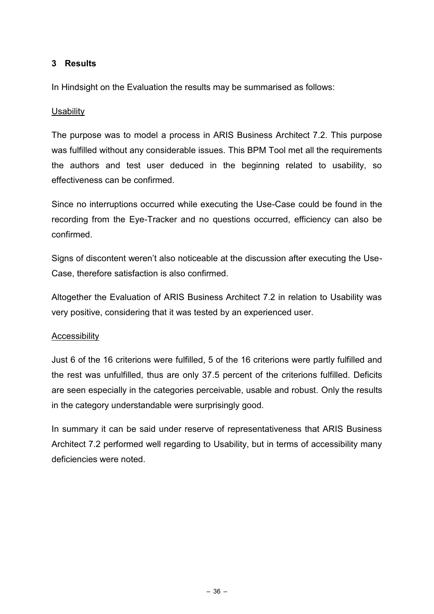# **3 Results**

In Hindsight on the Evaluation the results may be summarised as follows:

# **Usability**

The purpose was to model a process in ARIS Business Architect 7.2. This purpose was fulfilled without any considerable issues. This BPM Tool met all the requirements the authors and test user deduced in the beginning related to usability, so effectiveness can be confirmed.

Since no interruptions occurred while executing the Use-Case could be found in the recording from the Eye-Tracker and no questions occurred, efficiency can also be confirmed.

Signs of discontent weren't also noticeable at the discussion after executing the Use-Case, therefore satisfaction is also confirmed.

Altogether the Evaluation of ARIS Business Architect 7.2 in relation to Usability was very positive, considering that it was tested by an experienced user.

# Accessibility

Just 6 of the 16 criterions were fulfilled, 5 of the 16 criterions were partly fulfilled and the rest was unfulfilled, thus are only 37.5 percent of the criterions fulfilled. Deficits are seen especially in the categories perceivable, usable and robust. Only the results in the category understandable were surprisingly good.

In summary it can be said under reserve of representativeness that ARIS Business Architect 7.2 performed well regarding to Usability, but in terms of accessibility many deficiencies were noted.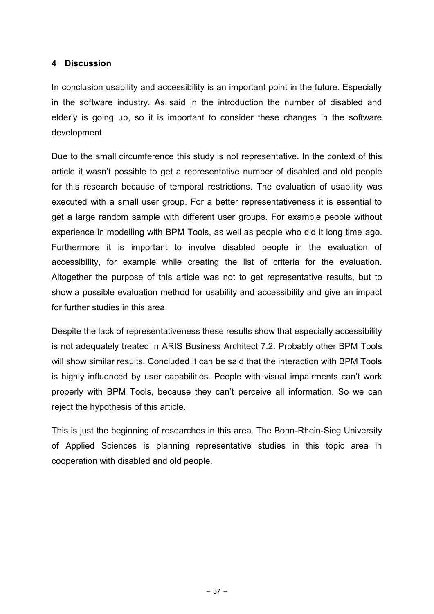# **4 Discussion**

In conclusion usability and accessibility is an important point in the future. Especially in the software industry. As said in the introduction the number of disabled and elderly is going up, so it is important to consider these changes in the software development.

Due to the small circumference this study is not representative. In the context of this article it wasn't possible to get a representative number of disabled and old people for this research because of temporal restrictions. The evaluation of usability was executed with a small user group. For a better representativeness it is essential to get a large random sample with different user groups. For example people without experience in modelling with BPM Tools, as well as people who did it long time ago. Furthermore it is important to involve disabled people in the evaluation of accessibility, for example while creating the list of criteria for the evaluation. Altogether the purpose of this article was not to get representative results, but to show a possible evaluation method for usability and accessibility and give an impact for further studies in this area.

Despite the lack of representativeness these results show that especially accessibility is not adequately treated in ARIS Business Architect 7.2. Probably other BPM Tools will show similar results. Concluded it can be said that the interaction with BPM Tools is highly influenced by user capabilities. People with visual impairments can't work properly with BPM Tools, because they can't perceive all information. So we can reject the hypothesis of this article.

This is just the beginning of researches in this area. The Bonn-Rhein-Sieg University of Applied Sciences is planning representative studies in this topic area in cooperation with disabled and old people.